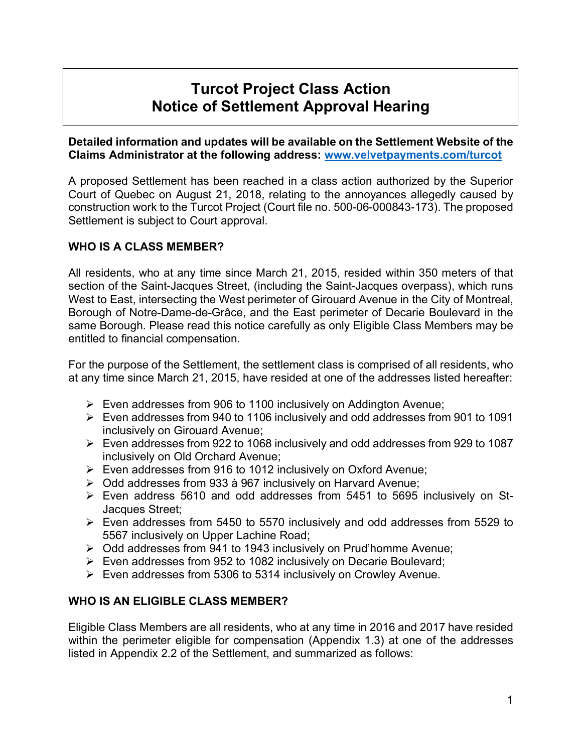# **Turcot Project Class Action Notice of Settlement Approval Hearing**

**Detailed information and updates will be available on the Settlement Website of the Claims Administrator at the following address: www.velvetpayments.com/turcot**

A proposed Settlement has been reached in a class action authorized by the Superior Court of Quebec on August 21, 2018, relating to the annoyances allegedly caused by construction work to the Turcot Project (Court file no. 500-06-000843-173). The proposed Settlement is subject to Court approval.

## **WHO IS A CLASS MEMBER?**

All residents, who at any time since March 21, 2015, resided within 350 meters of that section of the Saint-Jacques Street, (including the Saint-Jacques overpass), which runs West to East, intersecting the West perimeter of Girouard Avenue in the City of Montreal, Borough of Notre-Dame-de-Grâce, and the East perimeter of Decarie Boulevard in the same Borough. Please read this notice carefully as only Eligible Class Members may be entitled to financial compensation.

For the purpose of the Settlement, the settlement class is comprised of all residents, who at any time since March 21, 2015, have resided at one of the addresses listed hereafter:

- $\triangleright$  Even addresses from 906 to 1100 inclusively on Addington Avenue;
- $\triangleright$  Even addresses from 940 to 1106 inclusively and odd addresses from 901 to 1091 inclusively on Girouard Avenue;
- $\triangleright$  Even addresses from 922 to 1068 inclusively and odd addresses from 929 to 1087 inclusively on Old Orchard Avenue;
- $\triangleright$  Even addresses from 916 to 1012 inclusively on Oxford Avenue;
- $\geq$  Odd addresses from 933 à 967 inclusively on Harvard Avenue;
- $\triangleright$  Even address 5610 and odd addresses from 5451 to 5695 inclusively on St-Jacques Street;
- $\triangleright$  Even addresses from 5450 to 5570 inclusively and odd addresses from 5529 to 5567 inclusively on Upper Lachine Road;
- $\triangleright$  Odd addresses from 941 to 1943 inclusively on Prud'homme Avenue;
- $\triangleright$  Even addresses from 952 to 1082 inclusively on Decarie Boulevard;
- $\triangleright$  Even addresses from 5306 to 5314 inclusively on Crowley Avenue.

### **WHO IS AN ELIGIBLE CLASS MEMBER?**

Eligible Class Members are all residents, who at any time in 2016 and 2017 have resided within the perimeter eligible for compensation (Appendix 1.3) at one of the addresses listed in Appendix 2.2 of the Settlement, and summarized as follows: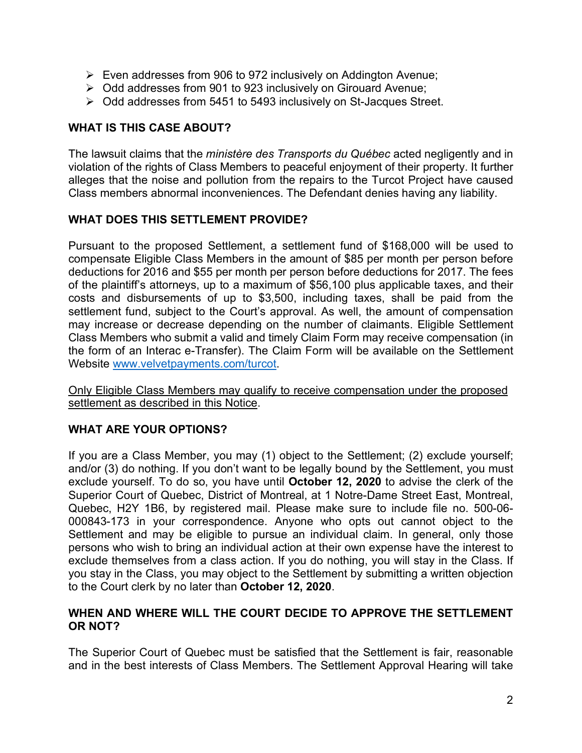- $\triangleright$  Even addresses from 906 to 972 inclusively on Addington Avenue;
- $\triangleright$  Odd addresses from 901 to 923 inclusively on Girouard Avenue;
- $\triangleright$  Odd addresses from 5451 to 5493 inclusively on St-Jacques Street.

## **WHAT IS THIS CASE ABOUT?**

The lawsuit claims that the *ministère des Transports du Québec* acted negligently and in violation of the rights of Class Members to peaceful enjoyment of their property. It further alleges that the noise and pollution from the repairs to the Turcot Project have caused Class members abnormal inconveniences. The Defendant denies having any liability.

### **WHAT DOES THIS SETTLEMENT PROVIDE?**

Pursuant to the proposed Settlement, a settlement fund of \$168,000 will be used to compensate Eligible Class Members in the amount of \$85 per month per person before deductions for 2016 and \$55 per month per person before deductions for 2017. The fees of the plaintiff's attorneys, up to a maximum of \$56,100 plus applicable taxes, and their costs and disbursements of up to \$3,500, including taxes, shall be paid from the settlement fund, subject to the Court's approval. As well, the amount of compensation may increase or decrease depending on the number of claimants. Eligible Settlement Class Members who submit a valid and timely Claim Form may receive compensation (in the form of an Interac e-Transfer). The Claim Form will be available on the Settlement Website www.velvetpayments.com/turcot.

Only Eligible Class Members may qualify to receive compensation under the proposed settlement as described in this Notice.

### **WHAT ARE YOUR OPTIONS?**

If you are a Class Member, you may (1) object to the Settlement; (2) exclude yourself; and/or (3) do nothing. If you don't want to be legally bound by the Settlement, you must exclude yourself. To do so, you have until **October 12, 2020** to advise the clerk of the Superior Court of Quebec, District of Montreal, at 1 Notre-Dame Street East, Montreal, Quebec, H2Y 1B6, by registered mail. Please make sure to include file no. 500-06- 000843-173 in your correspondence. Anyone who opts out cannot object to the Settlement and may be eligible to pursue an individual claim. In general, only those persons who wish to bring an individual action at their own expense have the interest to exclude themselves from a class action. If you do nothing, you will stay in the Class. If you stay in the Class, you may object to the Settlement by submitting a written objection to the Court clerk by no later than **October 12, 2020**.

#### **WHEN AND WHERE WILL THE COURT DECIDE TO APPROVE THE SETTLEMENT OR NOT?**

The Superior Court of Quebec must be satisfied that the Settlement is fair, reasonable and in the best interests of Class Members. The Settlement Approval Hearing will take